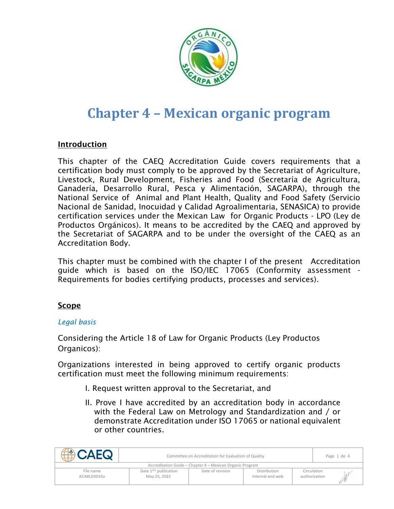

# **Chapter 4 – Mexican organic program**

# Introduction

This chapter of the CAEQ Accreditation Guide covers requirements that a certification body must comply to be approved by the Secretariat of Agriculture, Livestock, Rural Development, Fisheries and Food (Secretaría de Agricultura, Ganadería, Desarrollo Rural, Pesca y Alimentación, SAGARPA), through the National Service of Animal and Plant Health, Quality and Food Safety (Servicio Nacional de Sanidad, Inocuidad y Calidad Agroalimentaria, SENASICA) to provide certification services under the Mexican Law for Organic Products - LPO (Ley de Productos Orgánicos). It means to be accredited by the CAEQ and approved by the Secretariat of SAGARPA and to be under the oversight of the CAEQ as an Accreditation Body.

This chapter must be combined with the chapter I of the present Accreditation guide which is based on the ISO/IEC 17065 (Conformity assessment - Requirements for bodies certifying products, processes and services).

# Scope

## *Legal basis*

Considering the Article 18 of Law for Organic Products (Ley Productos Organicos):

Organizations interested in being approved to certify organic products certification must meet the following minimum requirements:

- I. Request written approval to the Secretariat, and
- II. Prove I have accredited by an accreditation body in accordance with the Federal Law on Metrology and Standardization and / or demonstrate Accreditation under ISO 17065 or national equivalent or other countries.

|                                                           | Committee on Accreditation for Evaluation of Quality |                  |                                  |  |                              | Page 1 de 4 |  |  |
|-----------------------------------------------------------|------------------------------------------------------|------------------|----------------------------------|--|------------------------------|-------------|--|--|
| Accreditation Guide - Chapter 4 - Mexican Organic Program |                                                      |                  |                                  |  |                              |             |  |  |
| File name<br>ACA8LD3033a                                  | Date 1 <sup>ère</sup> publication<br>May 25, 2022    | Date of revision | Distribution<br>Internal and web |  | Circulation<br>authorization |             |  |  |
|                                                           |                                                      |                  |                                  |  |                              |             |  |  |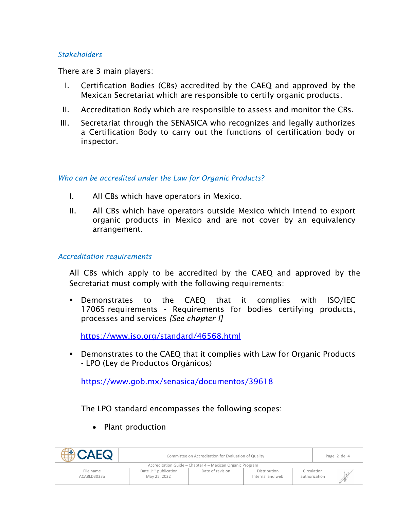## *Stakeholders*

There are 3 main players:

- I. Certification Bodies (CBs) accredited by the CAEQ and approved by the Mexican Secretariat which are responsible to certify organic products.
- II. Accreditation Body which are responsible to assess and monitor the CBs.
- III. Secretariat through the SENASICA who recognizes and legally authorizes a Certification Body to carry out the functions of certification body or inspector.

## *Who can be accredited under the Law for Organic Products?*

- I. All CBs which have operators in Mexico.
- II. All CBs which have operators outside Mexico which intend to export organic products in Mexico and are not cover by an equivalency arrangement.

#### *Accreditation requirements*

All CBs which apply to be accredited by the CAEQ and approved by the Secretariat must comply with the following requirements:

▪ Demonstrates to the CAEQ that it complies with ISO/IEC 17065 requirements - Requirements for bodies certifying products, processes and services *[See chapter I]*

https://www.iso.org/standard/46568.html

■ Demonstrates to the CAEQ that it complies with Law for Organic Products - LPO (Ley de Productos Orgánicos)

<https://www.gob.mx/senasica/documentos/39618>

The LPO standard encompasses the following scopes:

• Plant production

|                                                           | Committee on Accreditation for Evaluation of Quality |                  | Page 2 de 4      |               |  |  |  |
|-----------------------------------------------------------|------------------------------------------------------|------------------|------------------|---------------|--|--|--|
| Accreditation Guide - Chapter 4 - Mexican Organic Program |                                                      |                  |                  |               |  |  |  |
| File name                                                 | Date 1 <sup>ère</sup> publication                    | Date of revision | Distribution     | Circulation   |  |  |  |
| ACA8LD3033a                                               | May 25, 2022                                         |                  | Internal and web | authorization |  |  |  |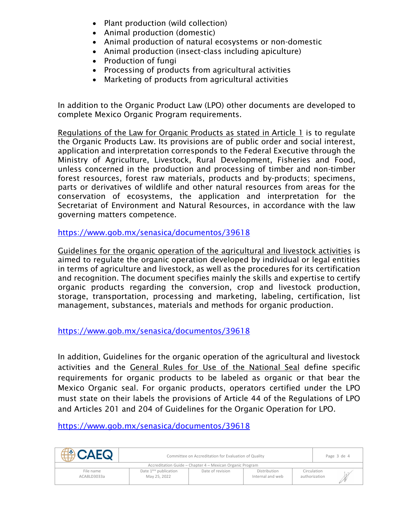- Plant production (wild collection)
- Animal production (domestic)
- Animal production of natural ecosystems or non-domestic
- Animal production (insect-class including apiculture)
- Production of fungi
- Processing of products from agricultural activities
- Marketing of products from agricultural activities

In addition to the Organic Product Law (LPO) other documents are developed to complete Mexico Organic Program requirements.

Regulations of the Law for Organic Products as stated in Article 1 is to regulate the Organic Products Law. Its provisions are of public order and social interest, application and interpretation corresponds to the Federal Executive through the Ministry of Agriculture, Livestock, Rural Development, Fisheries and Food, unless concerned in the production and processing of timber and non-timber forest resources, forest raw materials, products and by-products; specimens, parts or derivatives of wildlife and other natural resources from areas for the conservation of ecosystems, the application and interpretation for the Secretariat of Environment and Natural Resources, in accordance with the law governing matters competence.

<https://www.gob.mx/senasica/documentos/39618>

Guidelines for the organic operation of the agricultural and livestock activities is aimed to regulate the organic operation developed by individual or legal entities in terms of agriculture and livestock, as well as the procedures for its certification and recognition. The document specifies mainly the skills and expertise to certify organic products regarding the conversion, crop and livestock production, storage, transportation, processing and marketing, labeling, certification, list management, substances, materials and methods for organic production.

<https://www.gob.mx/senasica/documentos/39618>

In addition, Guidelines for the organic operation of the agricultural and livestock activities and the General Rules for Use of the National Seal define specific requirements for organic products to be labeled as organic or that bear the Mexico Organic seal. For organic products, operators certified under the LPO must state on their labels the provisions of Article 44 of the Regulations of LPO and Articles 201 and 204 of Guidelines for the Organic Operation for LPO.

<https://www.gob.mx/senasica/documentos/39618>

| $\Delta$ EQ                                               | Committee on Accreditation for Evaluation of Quality |                  |                                  |                              | Page 3 de 4 |  |  |
|-----------------------------------------------------------|------------------------------------------------------|------------------|----------------------------------|------------------------------|-------------|--|--|
| Accreditation Guide - Chapter 4 - Mexican Organic Program |                                                      |                  |                                  |                              |             |  |  |
| File name<br>ACA8LD3033a                                  | Date 1 <sup>ère</sup> publication<br>May 25, 2022    | Date of revision | Distribution<br>Internal and web | Circulation<br>authorization |             |  |  |